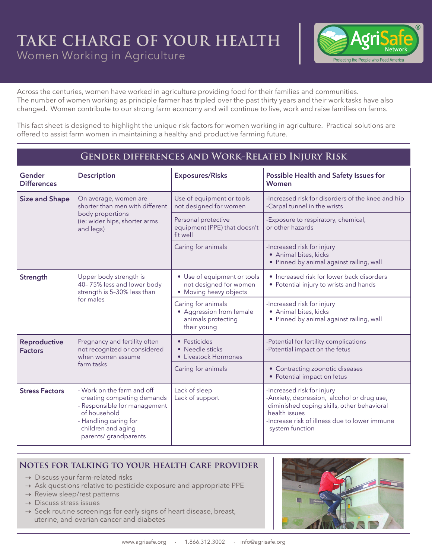## **TAKE CHARGE OF YOUR HEALTH** Women Working in Agriculture



Across the centuries, women have worked in agriculture providing food for their families and communities. The number of women working as principle farmer has tripled over the past thirty years and their work tasks have also changed. Women contribute to our strong farm economy and will continue to live, work and raise families on farms.

This fact sheet is designed to highlight the unique risk factors for women working in agriculture. Practical solutions are offered to assist farm women in maintaining a healthy and productive farming future.

## **Gender differences and Work-Related Injury Risk**

| Gender<br><b>Differences</b>   | <b>Description</b>                                                                                                                                                               | <b>Exposures/Risks</b>                                                              | Possible Health and Safety Issues for<br><b>Women</b>                                                                                                                                                       |
|--------------------------------|----------------------------------------------------------------------------------------------------------------------------------------------------------------------------------|-------------------------------------------------------------------------------------|-------------------------------------------------------------------------------------------------------------------------------------------------------------------------------------------------------------|
| <b>Size and Shape</b>          | On average, women are<br>shorter than men with different<br>body proportions<br>(ie: wider hips, shorter arms<br>and legs)                                                       | Use of equipment or tools<br>not designed for women                                 | -Increased risk for disorders of the knee and hip<br>-Carpal tunnel in the wrists                                                                                                                           |
|                                |                                                                                                                                                                                  | Personal protective<br>equipment (PPE) that doesn't<br>fit well                     | -Exposure to respiratory, chemical,<br>or other hazards                                                                                                                                                     |
|                                |                                                                                                                                                                                  | Caring for animals                                                                  | -Increased risk for injury<br>• Animal bites, kicks<br>· Pinned by animal against railing, wall                                                                                                             |
| Strength                       | Upper body strength is<br>40-75% less and lower body<br>strength is 5-30% less than<br>for males                                                                                 | • Use of equipment or tools<br>not designed for women<br>• Moving heavy objects     | • Increased risk for lower back disorders<br>• Potential injury to wrists and hands                                                                                                                         |
|                                |                                                                                                                                                                                  | Caring for animals<br>• Aggression from female<br>animals protecting<br>their young | -Increased risk for injury<br>· Animal bites, kicks<br>• Pinned by animal against railing, wall                                                                                                             |
| Reproductive<br><b>Factors</b> | Pregnancy and fertility often<br>not recognized or considered<br>when women assume<br>farm tasks                                                                                 | • Pesticides<br>• Needle sticks<br>• Livestock Hormones                             | -Potential for fertility complications<br>-Potential impact on the fetus                                                                                                                                    |
|                                |                                                                                                                                                                                  | Caring for animals                                                                  | • Contracting zoonotic diseases<br>• Potential impact on fetus                                                                                                                                              |
| <b>Stress Factors</b>          | - Work on the farm and off<br>creating competing demands<br>- Responsible for management<br>of household<br>- Handling caring for<br>children and aging<br>parents/ grandparents | Lack of sleep<br>Lack of support                                                    | -Increased risk for injury<br>-Anxiety, depression, alcohol or drug use,<br>diminished coping skills, other behavioral<br>health issues<br>-Increase risk of illness due to lower immune<br>system function |

## **Notes for talking to your health care provider**

- $\rightarrow$  Discuss your farm-related risks
- $\rightarrow$  Ask questions relative to pesticide exposure and appropriate PPE
- $\rightarrow$  Review sleep/rest patterns
- $\rightarrow$  Discuss stress issues
- $\rightarrow$  Seek routine screenings for early signs of heart disease, breast, uterine, and ovarian cancer and diabetes